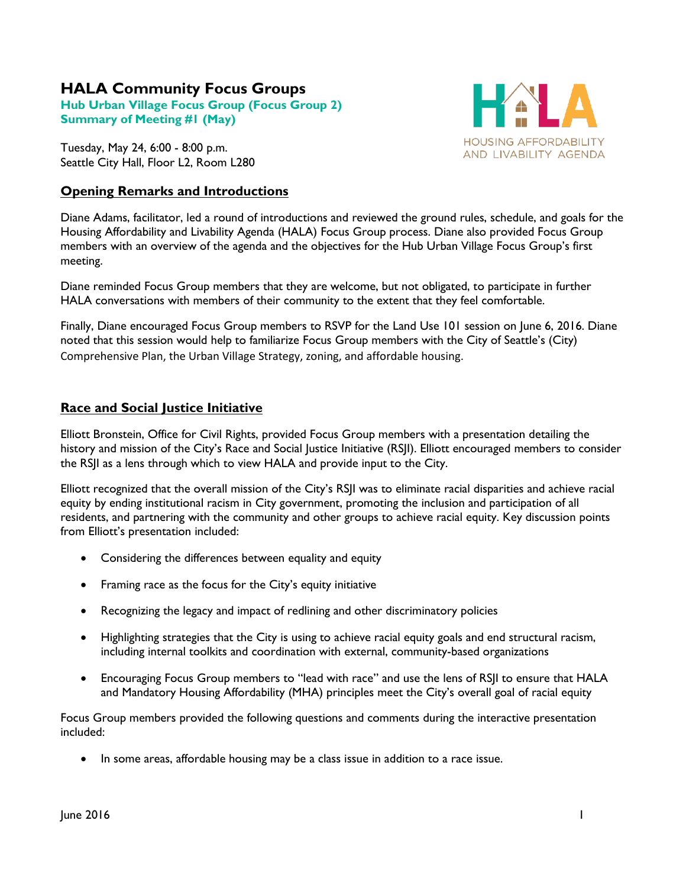# **HALA Community Focus Groups**

**Hub Urban Village Focus Group (Focus Group 2) Summary of Meeting #1 (May)**

Tuesday, May 24, 6:00 - 8:00 p.m. Seattle City Hall, Floor L2, Room L280

## **Opening Remarks and Introductions**



Diane Adams, facilitator, led a round of introductions and reviewed the ground rules, schedule, and goals for the Housing Affordability and Livability Agenda (HALA) Focus Group process. Diane also provided Focus Group members with an overview of the agenda and the objectives for the Hub Urban Village Focus Group's first meeting.

Diane reminded Focus Group members that they are welcome, but not obligated, to participate in further HALA conversations with members of their community to the extent that they feel comfortable.

Finally, Diane encouraged Focus Group members to RSVP for the Land Use 101 session on June 6, 2016. Diane noted that this session would help to familiarize Focus Group members with the City of Seattle's (City) Comprehensive Plan, the Urban Village Strategy, zoning, and affordable housing.

## **Race and Social Justice Initiative**

Elliott Bronstein, Office for Civil Rights, provided Focus Group members with a presentation detailing the history and mission of the City's Race and Social Justice Initiative (RSJI). Elliott encouraged members to consider the RSJI as a lens through which to view HALA and provide input to the City.

Elliott recognized that the overall mission of the City's RSJI was to eliminate racial disparities and achieve racial equity by ending institutional racism in City government, promoting the inclusion and participation of all residents, and partnering with the community and other groups to achieve racial equity. Key discussion points from Elliott's presentation included:

- Considering the differences between equality and equity
- Framing race as the focus for the City's equity initiative
- Recognizing the legacy and impact of redlining and other discriminatory policies
- Highlighting strategies that the City is using to achieve racial equity goals and end structural racism, including internal toolkits and coordination with external, community-based organizations
- Encouraging Focus Group members to "lead with race" and use the lens of RSJI to ensure that HALA and Mandatory Housing Affordability (MHA) principles meet the City's overall goal of racial equity

Focus Group members provided the following questions and comments during the interactive presentation included:

• In some areas, affordable housing may be a class issue in addition to a race issue.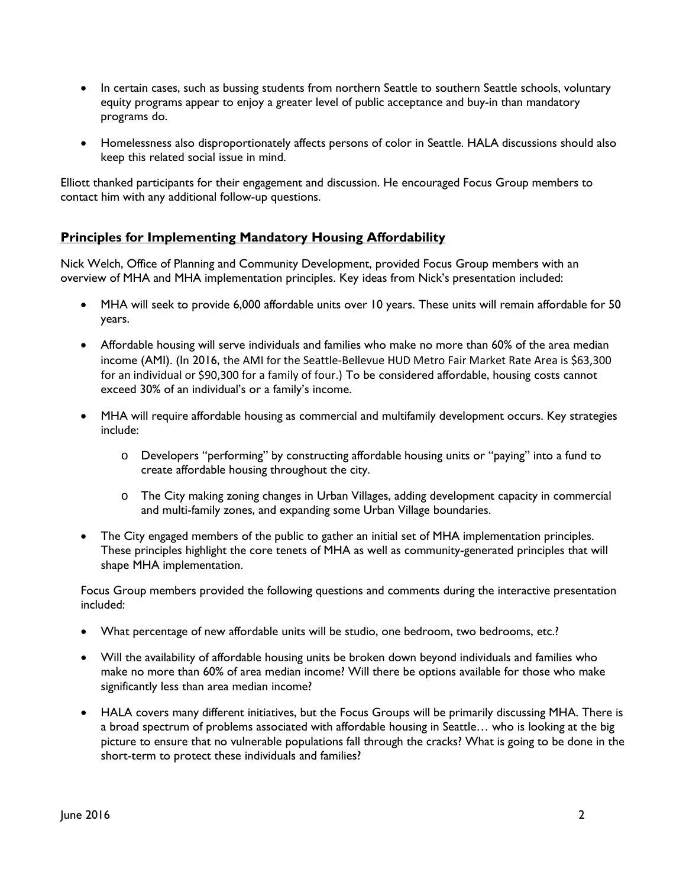- In certain cases, such as bussing students from northern Seattle to southern Seattle schools, voluntary equity programs appear to enjoy a greater level of public acceptance and buy-in than mandatory programs do.
- Homelessness also disproportionately affects persons of color in Seattle. HALA discussions should also keep this related social issue in mind.

Elliott thanked participants for their engagement and discussion. He encouraged Focus Group members to contact him with any additional follow-up questions.

## **Principles for Implementing Mandatory Housing Affordability**

Nick Welch, Office of Planning and Community Development, provided Focus Group members with an overview of MHA and MHA implementation principles. Key ideas from Nick's presentation included:

- MHA will seek to provide 6,000 affordable units over 10 years. These units will remain affordable for 50 years.
- Affordable housing will serve individuals and families who make no more than 60% of the area median income (AMI). (In 2016, the AMI for the Seattle-Bellevue HUD Metro Fair Market Rate Area is \$63,300 for an individual or \$90,300 for a family of four.) To be considered affordable, housing costs cannot exceed 30% of an individual's or a family's income.
- MHA will require affordable housing as commercial and multifamily development occurs. Key strategies include:
	- o Developers "performing" by constructing affordable housing units or "paying" into a fund to create affordable housing throughout the city.
	- o The City making zoning changes in Urban Villages, adding development capacity in commercial and multi-family zones, and expanding some Urban Village boundaries.
- The City engaged members of the public to gather an initial set of MHA implementation principles. These principles highlight the core tenets of MHA as well as community-generated principles that will shape MHA implementation.

Focus Group members provided the following questions and comments during the interactive presentation included:

- What percentage of new affordable units will be studio, one bedroom, two bedrooms, etc.?
- Will the availability of affordable housing units be broken down beyond individuals and families who make no more than 60% of area median income? Will there be options available for those who make significantly less than area median income?
- HALA covers many different initiatives, but the Focus Groups will be primarily discussing MHA. There is a broad spectrum of problems associated with affordable housing in Seattle… who is looking at the big picture to ensure that no vulnerable populations fall through the cracks? What is going to be done in the short-term to protect these individuals and families?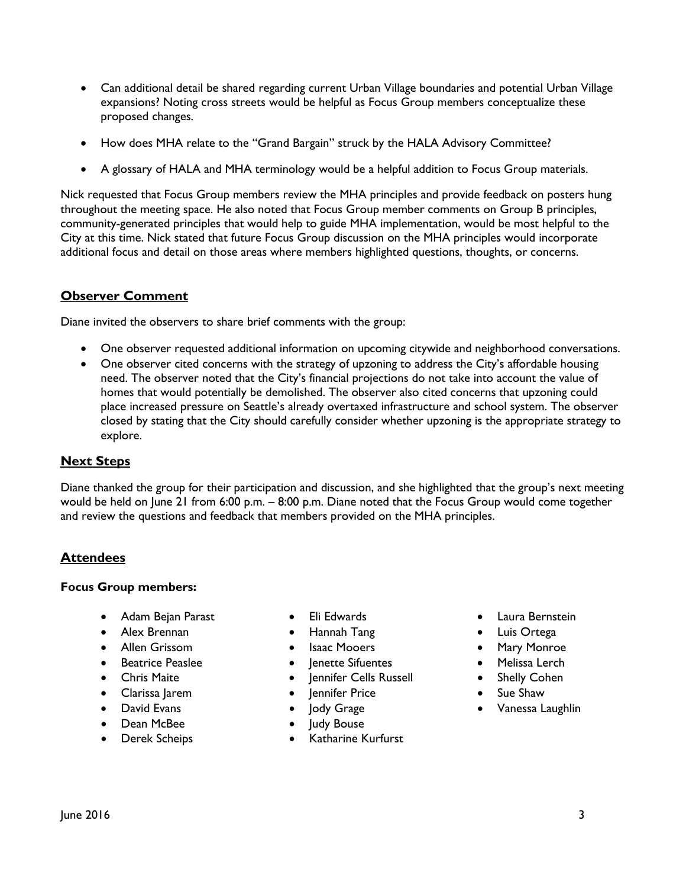- Can additional detail be shared regarding current Urban Village boundaries and potential Urban Village expansions? Noting cross streets would be helpful as Focus Group members conceptualize these proposed changes.
- How does MHA relate to the "Grand Bargain" struck by the HALA Advisory Committee?
- A glossary of HALA and MHA terminology would be a helpful addition to Focus Group materials.

Nick requested that Focus Group members review the MHA principles and provide feedback on posters hung throughout the meeting space. He also noted that Focus Group member comments on Group B principles, community-generated principles that would help to guide MHA implementation, would be most helpful to the City at this time. Nick stated that future Focus Group discussion on the MHA principles would incorporate additional focus and detail on those areas where members highlighted questions, thoughts, or concerns.

## **Observer Comment**

Diane invited the observers to share brief comments with the group:

- One observer requested additional information on upcoming citywide and neighborhood conversations.
- One observer cited concerns with the strategy of upzoning to address the City's affordable housing need. The observer noted that the City's financial projections do not take into account the value of homes that would potentially be demolished. The observer also cited concerns that upzoning could place increased pressure on Seattle's already overtaxed infrastructure and school system. The observer closed by stating that the City should carefully consider whether upzoning is the appropriate strategy to explore.

#### **Next Steps**

Diane thanked the group for their participation and discussion, and she highlighted that the group's next meeting would be held on June 21 from 6:00 p.m. – 8:00 p.m. Diane noted that the Focus Group would come together and review the questions and feedback that members provided on the MHA principles.

#### **Attendees**

#### **Focus Group members:**

- Adam Bejan Parast
- Alex Brennan
- Allen Grissom
- Beatrice Peaslee
- Chris Maite
- Clarissa Jarem
- David Evans
- Dean McBee
- Derek Scheips
- Eli Edwards
- Hannah Tang
- Isaac Mooers
- lenette Sifuentes
- Jennifer Cells Russell
- Jennifer Price
- Jody Grage
- Judy Bouse
- Katharine Kurfurst
- Laura Bernstein
- Luis Ortega
- Mary Monroe
- Melissa Lerch
- Shelly Cohen
- Sue Shaw
- Vanessa Laughlin